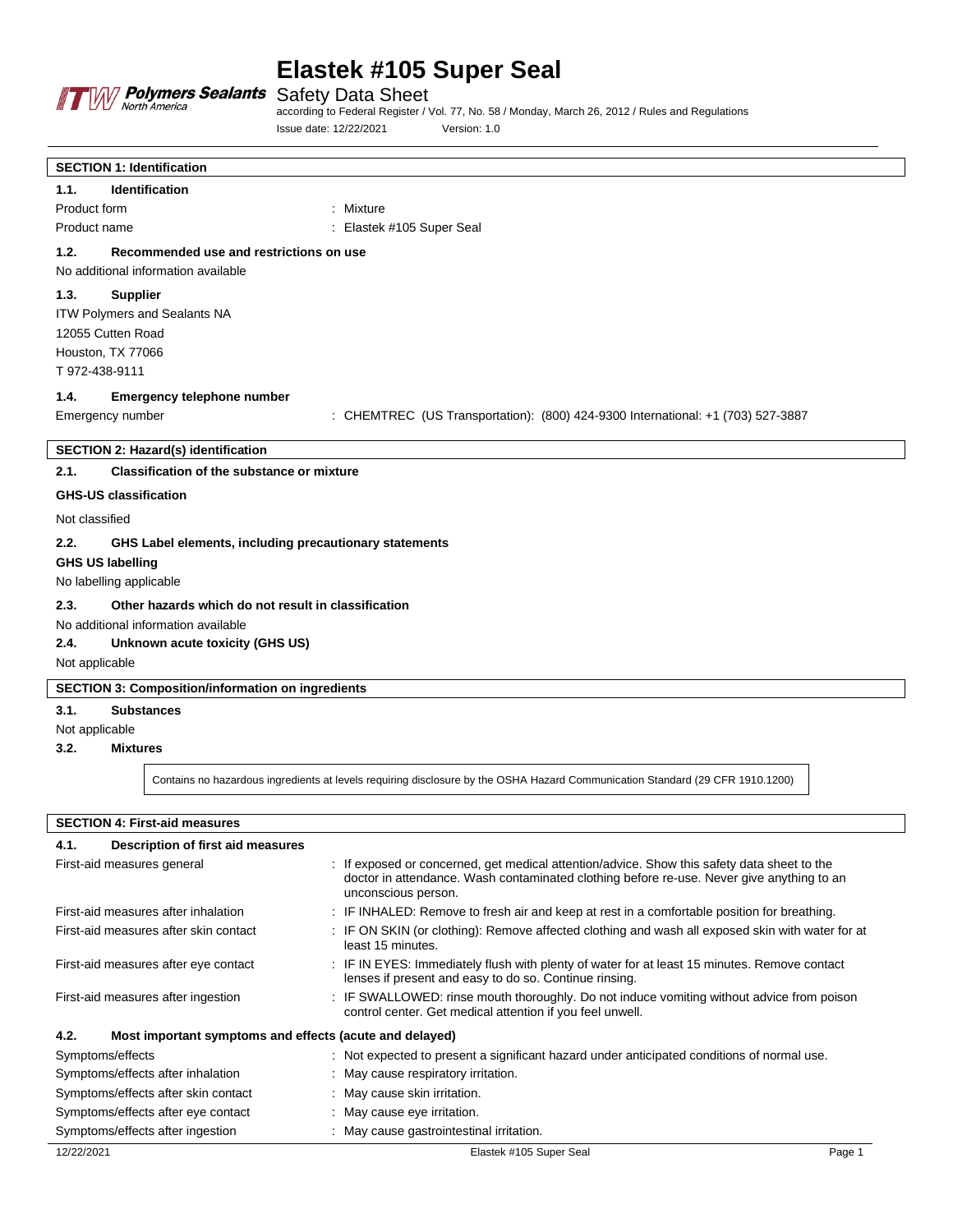

Safety Data Sheet

according to Federal Register / Vol. 77, No. 58 / Monday, March 26, 2012 / Rules and Regulations Issue date: 12/22/2021 Version: 1.0

| <b>SECTION 1: Identification</b>                            |                                                                                                                               |  |
|-------------------------------------------------------------|-------------------------------------------------------------------------------------------------------------------------------|--|
| <b>Identification</b><br>1.1.                               |                                                                                                                               |  |
| Product form                                                | : Mixture                                                                                                                     |  |
| Product name                                                | : Elastek #105 Super Seal                                                                                                     |  |
| 1.2.<br>Recommended use and restrictions on use             |                                                                                                                               |  |
| No additional information available                         |                                                                                                                               |  |
| 1.3.<br><b>Supplier</b>                                     |                                                                                                                               |  |
| ITW Polymers and Sealants NA                                |                                                                                                                               |  |
| 12055 Cutten Road                                           |                                                                                                                               |  |
| Houston, TX 77066                                           |                                                                                                                               |  |
| T 972-438-9111                                              |                                                                                                                               |  |
| 1.4.<br><b>Emergency telephone number</b>                   |                                                                                                                               |  |
| Emergency number                                            | : CHEMTREC (US Transportation): (800) 424-9300 International: +1 (703) 527-3887                                               |  |
|                                                             |                                                                                                                               |  |
| <b>SECTION 2: Hazard(s) identification</b>                  |                                                                                                                               |  |
| 2.1.<br>Classification of the substance or mixture          |                                                                                                                               |  |
| <b>GHS-US classification</b>                                |                                                                                                                               |  |
| Not classified                                              |                                                                                                                               |  |
| 2.2.                                                        | GHS Label elements, including precautionary statements                                                                        |  |
| <b>GHS US labelling</b>                                     |                                                                                                                               |  |
| No labelling applicable                                     |                                                                                                                               |  |
| 2.3.<br>Other hazards which do not result in classification |                                                                                                                               |  |
| No additional information available                         |                                                                                                                               |  |
| 2.4.<br>Unknown acute toxicity (GHS US)                     |                                                                                                                               |  |
| Not applicable                                              |                                                                                                                               |  |
| <b>SECTION 3: Composition/information on ingredients</b>    |                                                                                                                               |  |
| 3.1.<br><b>Substances</b>                                   |                                                                                                                               |  |
| Not applicable                                              |                                                                                                                               |  |
| 3.2.<br><b>Mixtures</b>                                     |                                                                                                                               |  |
|                                                             | Contains no hazardous ingredients at levels requiring disclosure by the OSHA Hazard Communication Standard (29 CFR 1910.1200) |  |

**SECTION 4: First-aid measures**

| 4.1.<br>Description of first aid measures                       |                                                                                                                                                                                                                 |
|-----------------------------------------------------------------|-----------------------------------------------------------------------------------------------------------------------------------------------------------------------------------------------------------------|
| First-aid measures general                                      | : If exposed or concerned, get medical attention/advice. Show this safety data sheet to the<br>doctor in attendance. Wash contaminated clothing before re-use. Never give anything to an<br>unconscious person. |
| First-aid measures after inhalation                             | : IF INHALED: Remove to fresh air and keep at rest in a comfortable position for breathing.                                                                                                                     |
| First-aid measures after skin contact                           | : IF ON SKIN (or clothing): Remove affected clothing and wash all exposed skin with water for at<br>least 15 minutes.                                                                                           |
| First-aid measures after eye contact                            | : IF IN EYES: Immediately flush with plenty of water for at least 15 minutes. Remove contact<br>lenses if present and easy to do so. Continue rinsing.                                                          |
| First-aid measures after ingestion                              | : IF SWALLOWED: rinse mouth thoroughly. Do not induce vomiting without advice from poison<br>control center. Get medical attention if you feel unwell.                                                          |
| 4.2.<br>Most important symptoms and effects (acute and delayed) |                                                                                                                                                                                                                 |
| Symptoms/effects                                                | : Not expected to present a significant hazard under anticipated conditions of normal use.                                                                                                                      |
| Symptoms/effects after inhalation                               | : May cause respiratory irritation.                                                                                                                                                                             |
| Symptoms/effects after skin contact                             | : May cause skin irritation.                                                                                                                                                                                    |
| Symptoms/effects after eye contact                              | : May cause eye irritation.                                                                                                                                                                                     |
| Symptoms/effects after ingestion                                | : May cause gastrointestinal irritation.                                                                                                                                                                        |
| 12/22/2021                                                      | Elastek #105 Super Seal<br>Page 1                                                                                                                                                                               |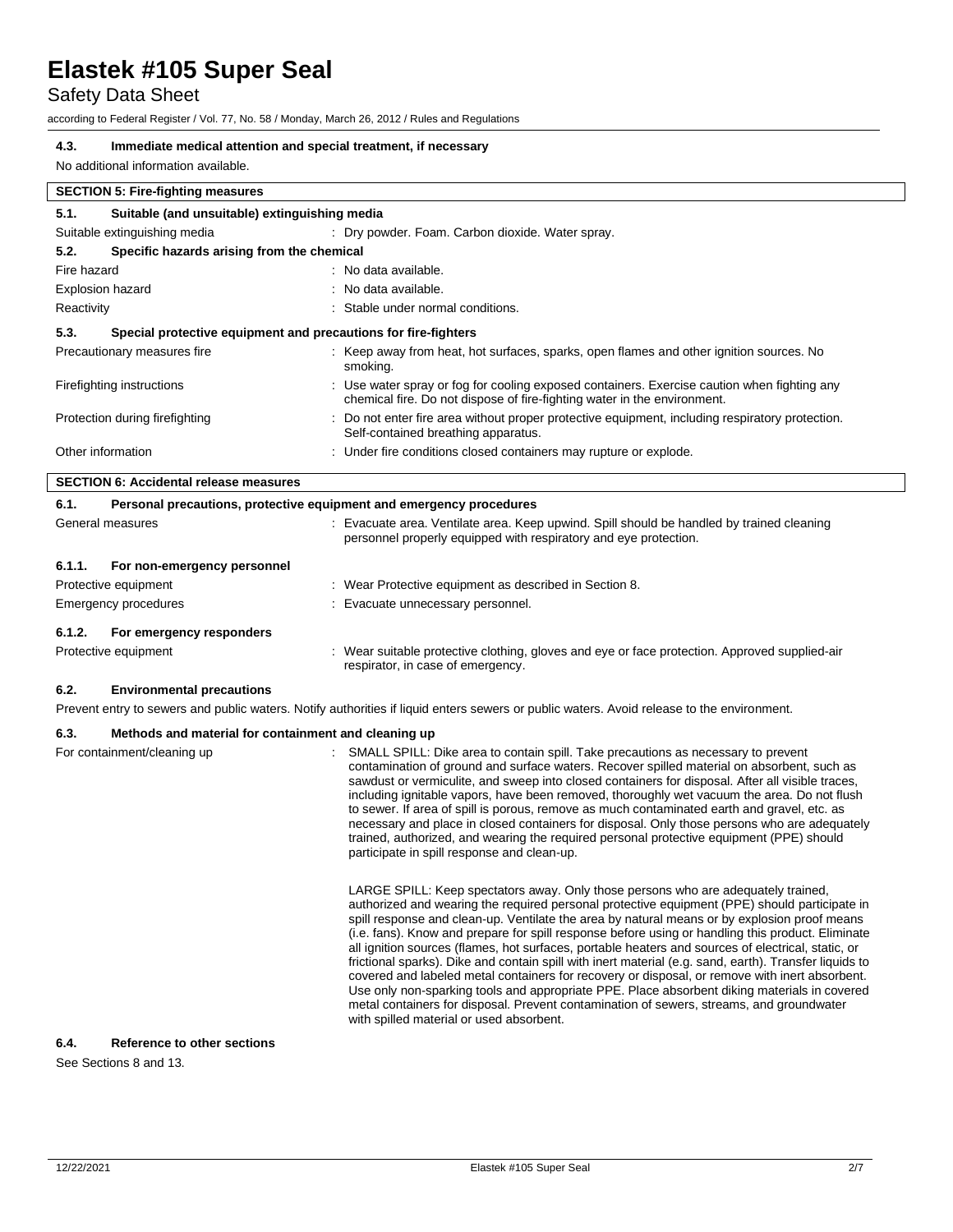# Safety Data Sheet

according to Federal Register / Vol. 77, No. 58 / Monday, March 26, 2012 / Rules and Regulations

# **4.3. Immediate medical attention and special treatment, if necessary**

No additional information available.

| <b>SECTION 5: Fire-fighting measures</b>              |                                                                                                                                                                         |
|-------------------------------------------------------|-------------------------------------------------------------------------------------------------------------------------------------------------------------------------|
| Suitable (and unsuitable) extinguishing media<br>5.1. |                                                                                                                                                                         |
| Suitable extinguishing media                          | : Dry powder. Foam. Carbon dioxide. Water spray.                                                                                                                        |
| Specific hazards arising from the chemical<br>5.2.    |                                                                                                                                                                         |
| Fire hazard                                           | : No data available.                                                                                                                                                    |
| <b>Explosion hazard</b>                               | : No data available.                                                                                                                                                    |
| Reactivity                                            | : Stable under normal conditions.                                                                                                                                       |
| 5.3.                                                  | Special protective equipment and precautions for fire-fighters                                                                                                          |
| Precautionary measures fire                           | : Keep away from heat, hot surfaces, sparks, open flames and other ignition sources. No<br>smoking.                                                                     |
| Firefighting instructions                             | : Use water spray or fog for cooling exposed containers. Exercise caution when fighting any<br>chemical fire. Do not dispose of fire-fighting water in the environment. |
| Protection during firefighting                        | : Do not enter fire area without proper protective equipment, including respiratory protection.<br>Self-contained breathing apparatus.                                  |
| Other information                                     | : Under fire conditions closed containers may rupture or explode.                                                                                                       |
| <b>SECTION 6: Accidental release measures</b>         |                                                                                                                                                                         |

| 6.1.<br>Personal precautions, protective equipment and emergency procedures |                                                                                                                                                               |
|-----------------------------------------------------------------------------|---------------------------------------------------------------------------------------------------------------------------------------------------------------|
| General measures                                                            | : Evacuate area. Ventilate area. Keep upwind. Spill should be handled by trained cleaning<br>personnel properly equipped with respiratory and eye protection. |
| 6.1.1.<br>For non-emergency personnel                                       |                                                                                                                                                               |
| Protective equipment                                                        | : Wear Protective equipment as described in Section 8.                                                                                                        |
| Emergency procedures                                                        | : Evacuate unnecessary personnel.                                                                                                                             |
| For emergency responders<br>6.1.2.                                          |                                                                                                                                                               |
| Protective equipment                                                        | : Wear suitable protective clothing, gloves and eye or face protection. Approved supplied-air<br>respirator, in case of emergency.                            |

#### **6.2. Environmental precautions**

Prevent entry to sewers and public waters. Notify authorities if liquid enters sewers or public waters. Avoid release to the environment.

# **6.3. Methods and material for containment and cleaning up**

| For containment/cleaning up | SMALL SPILL: Dike area to contain spill. Take precautions as necessary to prevent<br>contamination of ground and surface waters. Recover spilled material on absorbent, such as<br>sawdust or vermiculite, and sweep into closed containers for disposal. After all visible traces,<br>including ignitable vapors, have been removed, thoroughly wet vacuum the area. Do not flush<br>to sewer. If area of spill is porous, remove as much contaminated earth and gravel, etc. as<br>necessary and place in closed containers for disposal. Only those persons who are adequately<br>trained, authorized, and wearing the required personal protective equipment (PPE) should<br>participate in spill response and clean-up.                                                                                                                                                                                                                      |
|-----------------------------|---------------------------------------------------------------------------------------------------------------------------------------------------------------------------------------------------------------------------------------------------------------------------------------------------------------------------------------------------------------------------------------------------------------------------------------------------------------------------------------------------------------------------------------------------------------------------------------------------------------------------------------------------------------------------------------------------------------------------------------------------------------------------------------------------------------------------------------------------------------------------------------------------------------------------------------------------|
|                             | LARGE SPILL: Keep spectators away. Only those persons who are adequately trained,<br>authorized and wearing the required personal protective equipment (PPE) should participate in<br>spill response and clean-up. Ventilate the area by natural means or by explosion proof means<br>(i.e. fans). Know and prepare for spill response before using or handling this product. Eliminate<br>all ignition sources (flames, hot surfaces, portable heaters and sources of electrical, static, or<br>frictional sparks). Dike and contain spill with inert material (e.g. sand, earth). Transfer liquids to<br>covered and labeled metal containers for recovery or disposal, or remove with inert absorbent.<br>Use only non-sparking tools and appropriate PPE. Place absorbent diking materials in covered<br>metal containers for disposal. Prevent contamination of sewers, streams, and groundwater<br>with spilled material or used absorbent. |

### **6.4. Reference to other sections**

See Sections 8 and 13.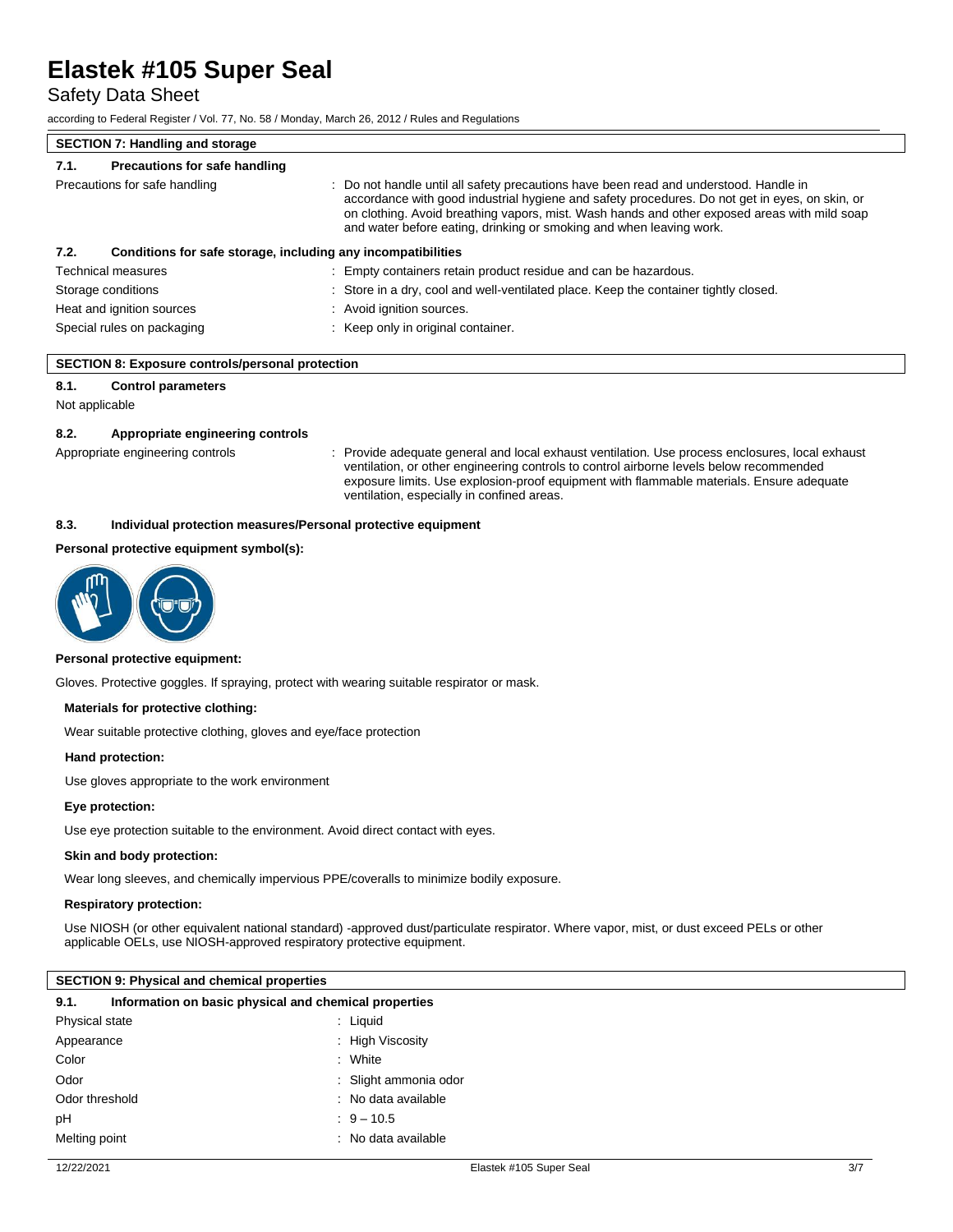Safety Data Sheet

according to Federal Register / Vol. 77, No. 58 / Monday, March 26, 2012 / Rules and Regulations

| <b>SECTION 7: Handling and storage</b> |                                                                                                                                                                                                                                                                                                                                                                |
|----------------------------------------|----------------------------------------------------------------------------------------------------------------------------------------------------------------------------------------------------------------------------------------------------------------------------------------------------------------------------------------------------------------|
| Precautions for safe handling<br>7.1.  |                                                                                                                                                                                                                                                                                                                                                                |
| Precautions for safe handling          | : Do not handle until all safety precautions have been read and understood. Handle in<br>accordance with good industrial hygiene and safety procedures. Do not get in eyes, on skin, or<br>on clothing. Avoid breathing vapors, mist. Wash hands and other exposed areas with mild soap<br>and water before eating, drinking or smoking and when leaving work. |
| 7.2.                                   | Conditions for safe storage, including any incompatibilities                                                                                                                                                                                                                                                                                                   |
| <b>Technical measures</b>              | : Empty containers retain product residue and can be hazardous.                                                                                                                                                                                                                                                                                                |
| Storage conditions                     | : Store in a dry, cool and well-ventilated place. Keep the container tightly closed.                                                                                                                                                                                                                                                                           |
| Heat and ignition sources              | : Avoid ignition sources.                                                                                                                                                                                                                                                                                                                                      |
| Special rules on packaging             | : Keep only in original container.                                                                                                                                                                                                                                                                                                                             |

|  | <b>SECTION 8: Exposure controls/personal protection</b> |  |
|--|---------------------------------------------------------|--|
|  |                                                         |  |

### **8.1. Control parameters**

Not applicable

#### **8.2. Appropriate engineering controls**

Appropriate engineering controls : Provide adequate general and local exhaust ventilation. Use process enclosures, local exhaust ventilation, or other engineering controls to control airborne levels below recommended exposure limits. Use explosion-proof equipment with flammable materials. Ensure adequate ventilation, especially in confined areas.

#### **8.3. Individual protection measures/Personal protective equipment**

### **Personal protective equipment symbol(s):**



#### **Personal protective equipment:**

Gloves. Protective goggles. If spraying, protect with wearing suitable respirator or mask.

#### **Materials for protective clothing:**

Wear suitable protective clothing, gloves and eye/face protection

#### **Hand protection:**

Use gloves appropriate to the work environment

#### **Eye protection:**

Use eye protection suitable to the environment. Avoid direct contact with eyes.

### **Skin and body protection:**

Wear long sleeves, and chemically impervious PPE/coveralls to minimize bodily exposure.

#### **Respiratory protection:**

Use NIOSH (or other equivalent national standard) -approved dust/particulate respirator. Where vapor, mist, or dust exceed PELs or other applicable OELs, use NIOSH-approved respiratory protective equipment.

#### **SECTION 9: Physical and chemical properties**

| 9.1.           | Information on basic physical and chemical properties |                       |
|----------------|-------------------------------------------------------|-----------------------|
| Physical state |                                                       | : Liquid              |
| Appearance     |                                                       | : High Viscosity      |
| Color          |                                                       | : White               |
| Odor           |                                                       | : Slight ammonia odor |
| Odor threshold |                                                       | : No data available   |
| рH             |                                                       | $9 - 10.5$            |
| Melting point  |                                                       | : No data available   |
|                |                                                       |                       |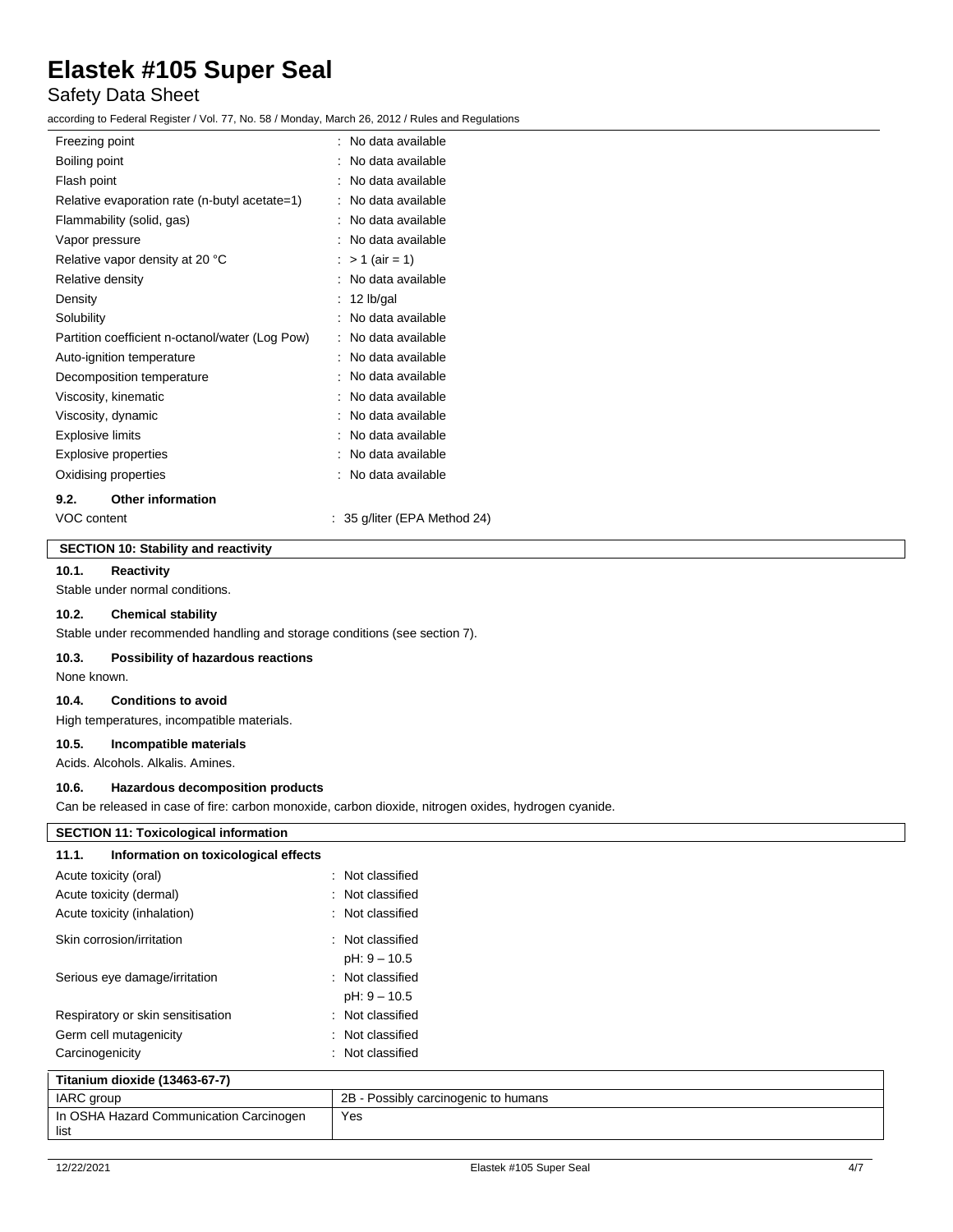# Safety Data Sheet

according to Federal Register / Vol. 77, No. 58 / Monday, March 26, 2012 / Rules and Regulations

| Freezing point                                  | $\therefore$ No data available. |
|-------------------------------------------------|---------------------------------|
| Boiling point                                   | No data available               |
| Flash point                                     | No data available               |
| Relative evaporation rate (n-butyl acetate=1)   | No data available               |
| Flammability (solid, gas)                       | No data available               |
| Vapor pressure                                  | No data available               |
| Relative vapor density at 20 °C                 | $> 1$ (air = 1)                 |
| Relative density                                | No data available               |
| Density                                         | 12 lb/gal                       |
| Solubility                                      | No data available               |
| Partition coefficient n-octanol/water (Log Pow) | No data available               |
| Auto-ignition temperature                       | No data available               |
| Decomposition temperature                       | No data available               |
| Viscosity, kinematic                            | No data available               |
| Viscosity, dynamic                              | No data available               |
| Explosive limits                                | No data available               |
| <b>Explosive properties</b>                     | No data available               |
| Oxidising properties                            | No data available               |
| <b>Other information</b><br>9.2.                |                                 |

VOC content : 35 g/liter (EPA Method 24)

# **SECTION 10: Stability and reactivity**

### **10.1. Reactivity**

Stable under normal conditions.

## **10.2. Chemical stability**

Stable under recommended handling and storage conditions (see section 7).

# **10.3. Possibility of hazardous reactions**

None known.

### **10.4. Conditions to avoid**

High temperatures, incompatible materials.

# **10.5. Incompatible materials**

Acids. Alcohols. Alkalis. Amines.

## **10.6. Hazardous decomposition products**

Can be released in case of fire: carbon monoxide, carbon dioxide, nitrogen oxides, hydrogen cyanide.

| <b>SECTION 11: Toxicological information</b>  |                                      |
|-----------------------------------------------|--------------------------------------|
| Information on toxicological effects<br>11.1. |                                      |
| Acute toxicity (oral)                         | : Not classified                     |
| Acute toxicity (dermal)                       | : Not classified                     |
| Acute toxicity (inhalation)                   | : Not classified                     |
| Skin corrosion/irritation                     | : Not classified                     |
|                                               | $pH: 9 - 10.5$                       |
| Serious eye damage/irritation                 | : Not classified                     |
|                                               | $pH: 9 - 10.5$                       |
| Respiratory or skin sensitisation             | : Not classified                     |
| Germ cell mutagenicity                        | : Not classified                     |
| Carcinogenicity                               | : Not classified                     |
| Titanium dioxide (13463-67-7)                 |                                      |
| IARC group                                    | 2B - Possibly carcinogenic to humans |
| In OSHA Hazard Communication Carcinogen       | Yes                                  |

list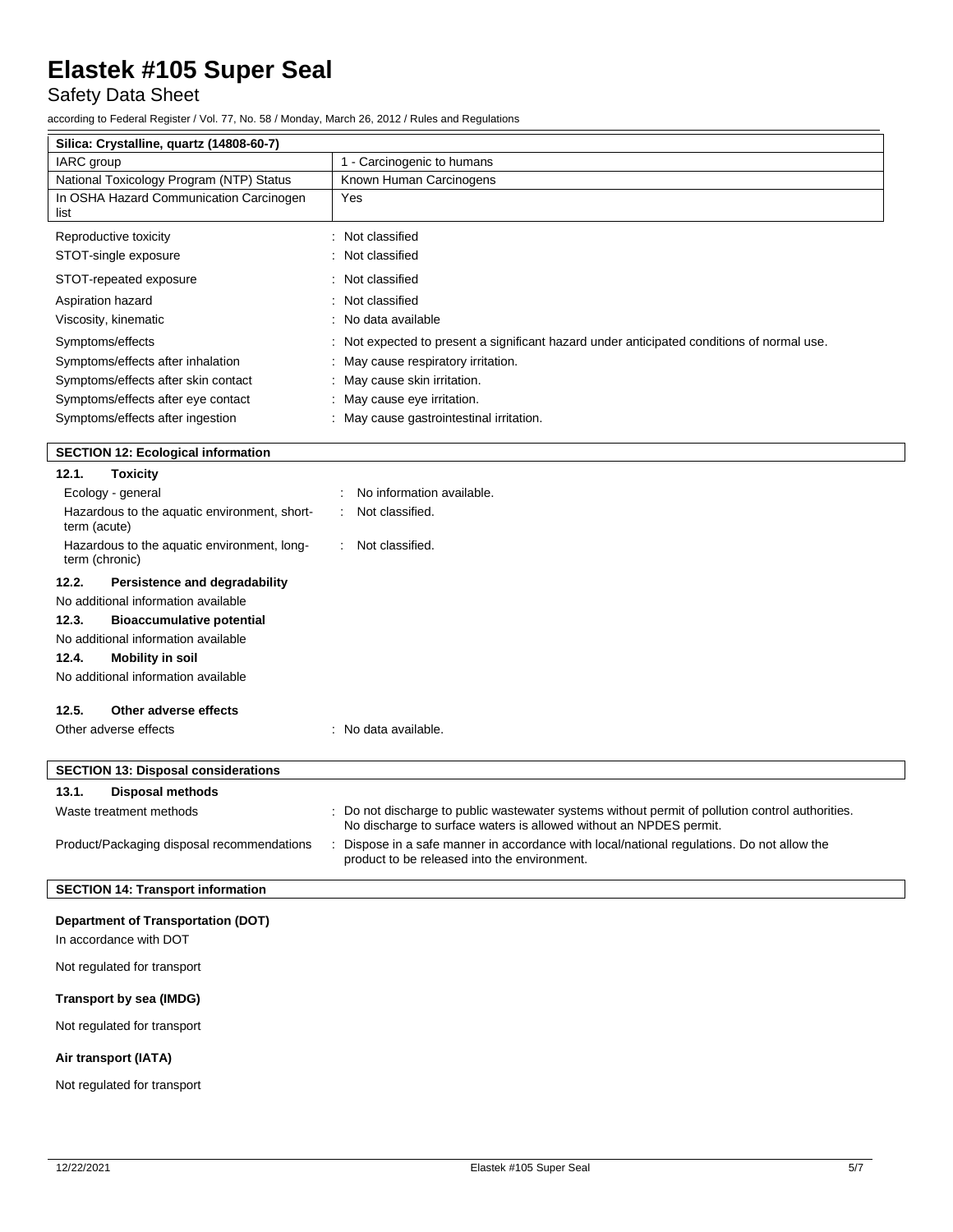Safety Data Sheet

according to Federal Register / Vol. 77, No. 58 / Monday, March 26, 2012 / Rules and Regulations

| Silica: Crystalline, quartz (14808-60-7)                            |                                                                                                                                                                        |
|---------------------------------------------------------------------|------------------------------------------------------------------------------------------------------------------------------------------------------------------------|
| IARC group                                                          | 1 - Carcinogenic to humans                                                                                                                                             |
| National Toxicology Program (NTP) Status                            | Known Human Carcinogens                                                                                                                                                |
| In OSHA Hazard Communication Carcinogen<br>list                     | Yes                                                                                                                                                                    |
| Reproductive toxicity                                               | : Not classified                                                                                                                                                       |
| STOT-single exposure                                                | : Not classified                                                                                                                                                       |
| STOT-repeated exposure                                              | : Not classified                                                                                                                                                       |
| Aspiration hazard                                                   | : Not classified                                                                                                                                                       |
| Viscosity, kinematic                                                | : No data available                                                                                                                                                    |
| Symptoms/effects                                                    | : Not expected to present a significant hazard under anticipated conditions of normal use.                                                                             |
| Symptoms/effects after inhalation                                   | May cause respiratory irritation.                                                                                                                                      |
| Symptoms/effects after skin contact                                 | : May cause skin irritation.                                                                                                                                           |
| Symptoms/effects after eye contact                                  | : May cause eye irritation.                                                                                                                                            |
| Symptoms/effects after ingestion                                    | : May cause gastrointestinal irritation.                                                                                                                               |
| <b>SECTION 12: Ecological information</b>                           |                                                                                                                                                                        |
| 12.1.<br><b>Toxicity</b>                                            |                                                                                                                                                                        |
| Ecology - general                                                   | No information available.                                                                                                                                              |
| Hazardous to the aquatic environment, short-<br>term (acute)        | Not classified.                                                                                                                                                        |
| Hazardous to the aquatic environment, long-<br>term (chronic)       | Not classified.                                                                                                                                                        |
| 12.2.<br>Persistence and degradability                              |                                                                                                                                                                        |
| No additional information available                                 |                                                                                                                                                                        |
| 12.3.<br><b>Bioaccumulative potential</b>                           |                                                                                                                                                                        |
| No additional information available                                 |                                                                                                                                                                        |
| 12.4.<br><b>Mobility in soil</b>                                    |                                                                                                                                                                        |
| No additional information available                                 |                                                                                                                                                                        |
| 12.5.<br>Other adverse effects                                      |                                                                                                                                                                        |
| Other adverse effects                                               | : No data available.                                                                                                                                                   |
|                                                                     |                                                                                                                                                                        |
| <b>SECTION 13: Disposal considerations</b>                          |                                                                                                                                                                        |
| 13.1.<br><b>Disposal methods</b>                                    |                                                                                                                                                                        |
| Waste treatment methods                                             | : Do not discharge to public wastewater systems without permit of pollution control authorities.<br>No discharge to surface waters is allowed without an NPDES permit. |
| Product/Packaging disposal recommendations                          | Dispose in a safe manner in accordance with local/national regulations. Do not allow the<br>product to be released into the environment.                               |
| <b>SECTION 14: Transport information</b>                            |                                                                                                                                                                        |
| <b>Department of Transportation (DOT)</b><br>In accordance with DOT |                                                                                                                                                                        |
| Not regulated for transport                                         |                                                                                                                                                                        |

**Transport by sea (IMDG)**

Not regulated for transport

# **Air transport (IATA)**

Not regulated for transport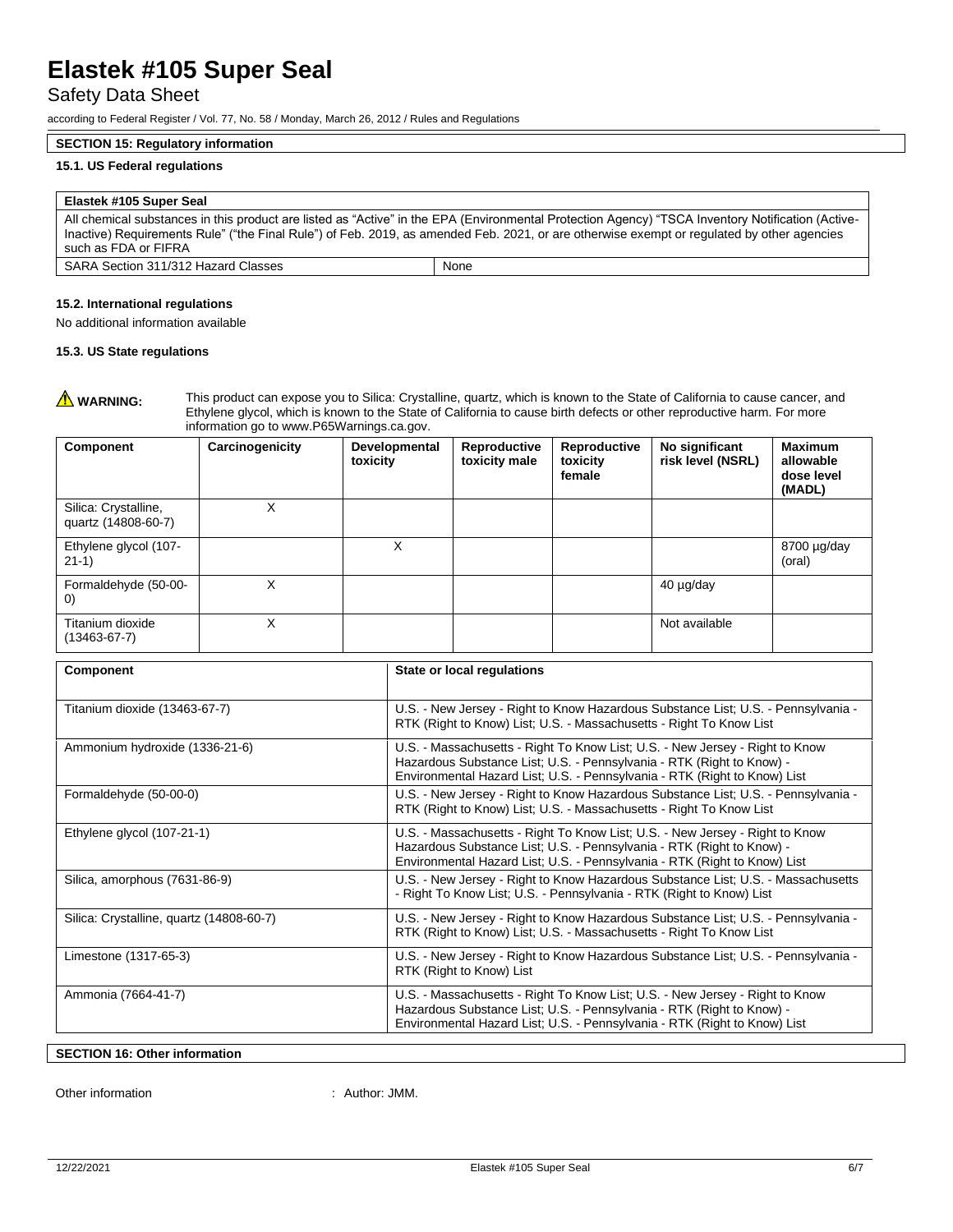# Safety Data Sheet

according to Federal Register / Vol. 77, No. 58 / Monday, March 26, 2012 / Rules and Regulations

### **SECTION 15: Regulatory information**

### **15.1. US Federal regulations**

#### **Elastek #105 Super Seal**

All chemical substances in this product are listed as "Active" in the EPA (Environmental Protection Agency) "TSCA Inventory Notification (Active-Inactive) Requirements Rule" ("the Final Rule") of Feb. 2019, as amended Feb. 2021, or are otherwise exempt or regulated by other agencies such as FDA or FIFRA SARA Section 311/312 Hazard Classes | None

No additional information available

#### **15.3. US State regulations**

**A WARNING:** This product can expose you to Silica: Crystalline, quartz, which is known to the State of California to cause cancer, and Ethylene glycol, which is known to the State of California to cause birth defects or other reproductive harm. For more information go to www.P65Warnings.ca.gov.

| <b>Component</b>                            | Carcinogenicity | Developmental<br>toxicity | Reproductive<br>toxicity male | Reproductive<br>toxicity<br>female | No significant<br>risk level (NSRL) | <b>Maximum</b><br>allowable<br>dose level<br>(MADL) |
|---------------------------------------------|-----------------|---------------------------|-------------------------------|------------------------------------|-------------------------------------|-----------------------------------------------------|
| Silica: Crystalline,<br>quartz (14808-60-7) | X               |                           |                               |                                    |                                     |                                                     |
| Ethylene glycol (107-<br>$21-1)$            |                 | X                         |                               |                                    |                                     | $8700 \mu g/day$<br>(oral)                          |
| Formaldehyde (50-00-<br>$\left( 0\right)$   | X               |                           |                               |                                    | 40 µg/day                           |                                                     |
| Titanium dioxide<br>$(13463 - 67 - 7)$      | X               |                           |                               |                                    | Not available                       |                                                     |

| Component                                | State or local regulations                                                                                                                                                                                                         |  |  |
|------------------------------------------|------------------------------------------------------------------------------------------------------------------------------------------------------------------------------------------------------------------------------------|--|--|
| Titanium dioxide (13463-67-7)            | U.S. - New Jersey - Right to Know Hazardous Substance List; U.S. - Pennsylvania -<br>RTK (Right to Know) List; U.S. - Massachusetts - Right To Know List                                                                           |  |  |
| Ammonium hydroxide (1336-21-6)           | U.S. - Massachusetts - Right To Know List; U.S. - New Jersey - Right to Know<br>Hazardous Substance List; U.S. - Pennsylvania - RTK (Right to Know) -<br>Environmental Hazard List; U.S. - Pennsylvania - RTK (Right to Know) List |  |  |
| Formaldehyde (50-00-0)                   | U.S. - New Jersey - Right to Know Hazardous Substance List; U.S. - Pennsylvania -<br>RTK (Right to Know) List; U.S. - Massachusetts - Right To Know List                                                                           |  |  |
| Ethylene glycol (107-21-1)               | U.S. - Massachusetts - Right To Know List; U.S. - New Jersey - Right to Know<br>Hazardous Substance List; U.S. - Pennsylvania - RTK (Right to Know) -<br>Environmental Hazard List; U.S. - Pennsylvania - RTK (Right to Know) List |  |  |
| Silica, amorphous (7631-86-9)            | U.S. - New Jersey - Right to Know Hazardous Substance List; U.S. - Massachusetts<br>- Right To Know List; U.S. - Pennsylvania - RTK (Right to Know) List                                                                           |  |  |
| Silica: Crystalline, quartz (14808-60-7) | U.S. - New Jersey - Right to Know Hazardous Substance List; U.S. - Pennsylvania -<br>RTK (Right to Know) List; U.S. - Massachusetts - Right To Know List                                                                           |  |  |
| Limestone (1317-65-3)                    | U.S. - New Jersey - Right to Know Hazardous Substance List; U.S. - Pennsylvania -<br>RTK (Right to Know) List                                                                                                                      |  |  |
| Ammonia (7664-41-7)                      | U.S. - Massachusetts - Right To Know List; U.S. - New Jersey - Right to Know<br>Hazardous Substance List; U.S. - Pennsylvania - RTK (Right to Know) -<br>Environmental Hazard List; U.S. - Pennsylvania - RTK (Right to Know) List |  |  |

## **SECTION 16: Other information**

Other information  $\qquad \qquad$ : Author: JMM.